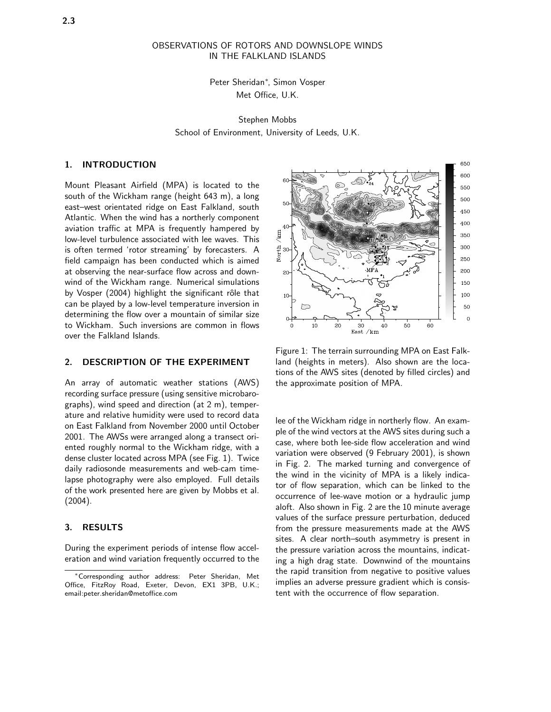# OBSERVATIONS OF ROTORS AND DOWNSLOPE WINDS IN THE FALKLAND ISLANDS

Peter Sheridan<sup>∗</sup> , Simon Vosper Met Office, U.K.

Stephen Mobbs School of Environment, University of Leeds, U.K.

## 1. INTRODUCTION

Mount Pleasant Airfield (MPA) is located to the south of the Wickham range (height 643 m), a long east–west orientated ridge on East Falkland, south Atlantic. When the wind has a northerly component aviation traffic at MPA is frequently hampered by low-level turbulence associated with lee waves. This is often termed 'rotor streaming' by forecasters. A field campaign has been conducted which is aimed at observing the near-surface flow across and downwind of the Wickham range. Numerical simulations by Vosper (2004) highlight the significant rôle that can be played by a low-level temperature inversion in determining the flow over a mountain of similar size to Wickham. Such inversions are common in flows over the Falkland Islands.

## 2. DESCRIPTION OF THE EXPERIMENT

An array of automatic weather stations (AWS) recording surface pressure (using sensitive microbarographs), wind speed and direction (at 2 m), temperature and relative humidity were used to record data on East Falkland from November 2000 until October 2001. The AWSs were arranged along a transect oriented roughly normal to the Wickham ridge, with a dense cluster located across MPA (see Fig. 1). Twice daily radiosonde measurements and web-cam timelapse photography were also employed. Full details of the work presented here are given by Mobbs et al. (2004).

## 3. RESULTS

During the experiment periods of intense flow acceleration and wind variation frequently occurred to the



Figure 1: The terrain surrounding MPA on East Falkland (heights in meters). Also shown are the locations of the AWS sites (denoted by filled circles) and the approximate position of MPA.

lee of the Wickham ridge in northerly flow. An example of the wind vectors at the AWS sites during such a case, where both lee-side flow acceleration and wind variation were observed (9 February 2001), is shown in Fig. 2. The marked turning and convergence of the wind in the vicinity of MPA is a likely indicator of flow separation, which can be linked to the occurrence of lee-wave motion or a hydraulic jump aloft. Also shown in Fig. 2 are the 10 minute average values of the surface pressure perturbation, deduced from the pressure measurements made at the AWS sites. A clear north–south asymmetry is present in the pressure variation across the mountains, indicating a high drag state. Downwind of the mountains the rapid transition from negative to positive values implies an adverse pressure gradient which is consistent with the occurrence of flow separation.

<sup>∗</sup>Corresponding author address: Peter Sheridan, Met Office, FitzRoy Road, Exeter, Devon, EX1 3PB, U.K.; email:peter.sheridan@metoffice.com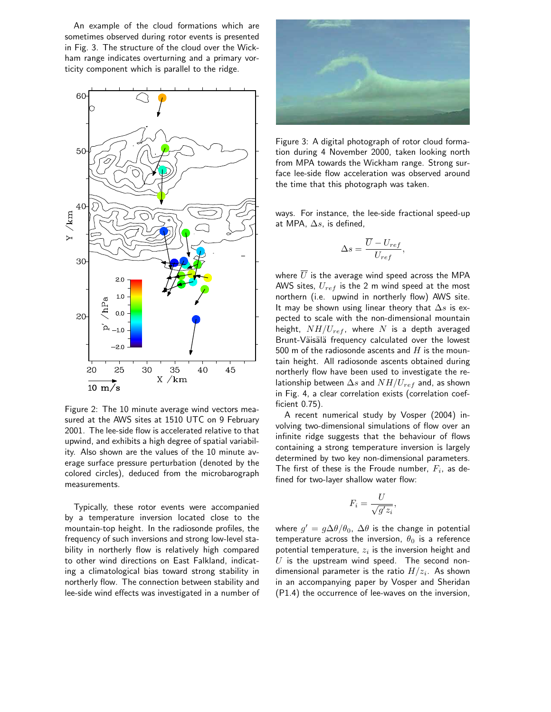An example of the cloud formations which are sometimes observed during rotor events is presented in Fig. 3. The structure of the cloud over the Wickham range indicates overturning and a primary vorticity component which is parallel to the ridge.



Figure 2: The 10 minute average wind vectors measured at the AWS sites at 1510 UTC on 9 February 2001. The lee-side flow is accelerated relative to that upwind, and exhibits a high degree of spatial variability. Also shown are the values of the 10 minute average surface pressure perturbation (denoted by the colored circles), deduced from the microbarograph measurements.

Typically, these rotor events were accompanied by a temperature inversion located close to the mountain-top height. In the radiosonde profiles, the frequency of such inversions and strong low-level stability in northerly flow is relatively high compared to other wind directions on East Falkland, indicating a climatological bias toward strong stability in northerly flow. The connection between stability and lee-side wind effects was investigated in a number of



Figure 3: A digital photograph of rotor cloud formation during 4 November 2000, taken looking north from MPA towards the Wickham range. Strong surface lee-side flow acceleration was observed around the time that this photograph was taken.

ways. For instance, the lee-side fractional speed-up at MPA,  $\Delta s$ , is defined,

$$
\Delta s = \frac{\overline{U} - U_{ref}}{U_{ref}},
$$

where  $\overline{U}$  is the average wind speed across the MPA AWS sites,  $U_{ref}$  is the 2 m wind speed at the most northern (i.e. upwind in northerly flow) AWS site. It may be shown using linear theory that  $\Delta s$  is expected to scale with the non-dimensional mountain height,  $NH/U_{ref}$ , where N is a depth averaged Brunt-Väisälä frequency calculated over the lowest 500 m of the radiosonde ascents and  $H$  is the mountain height. All radiosonde ascents obtained during northerly flow have been used to investigate the relationship between  $\Delta s$  and  $NH/U_{ref}$  and, as shown in Fig. 4, a clear correlation exists (correlation coefficient 0.75).

A recent numerical study by Vosper (2004) involving two-dimensional simulations of flow over an infinite ridge suggests that the behaviour of flows containing a strong temperature inversion is largely determined by two key non-dimensional parameters. The first of these is the Froude number,  $F_i$ , as defined for two-layer shallow water flow:

$$
F_i = \frac{U}{\sqrt{g'z_i}},
$$

where  $g' = g\Delta\theta/\theta_0$ ,  $\Delta\theta$  is the change in potential temperature across the inversion,  $\theta_0$  is a reference potential temperature,  $z_i$  is the inversion height and  $U$  is the upstream wind speed. The second nondimensional parameter is the ratio  $H/z_i.$  As shown in an accompanying paper by Vosper and Sheridan (P1.4) the occurrence of lee-waves on the inversion,